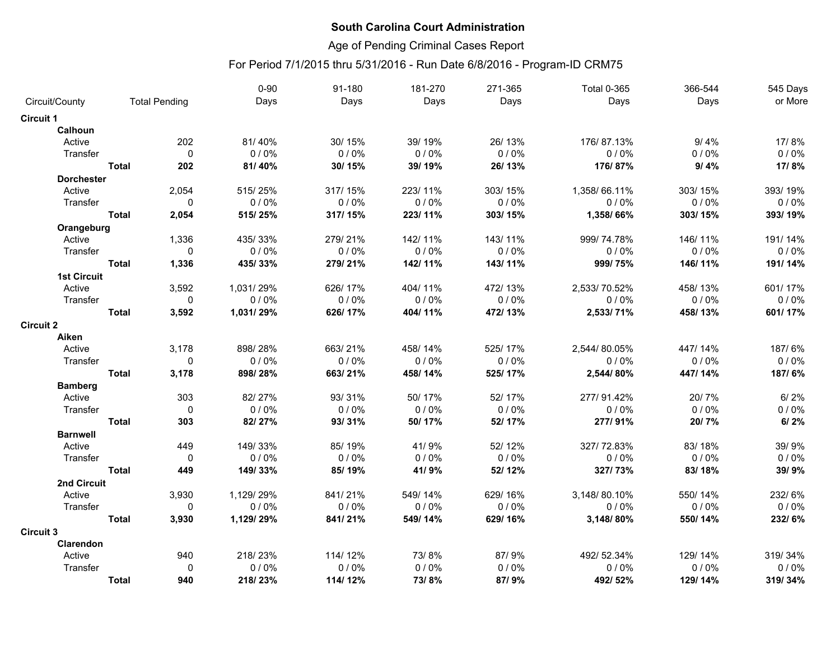# Age of Pending Criminal Cases Report

|                    |              |                      | $0 - 90$  | 91-180  | 181-270 | 271-365 | <b>Total 0-365</b> | 366-544 | 545 Days |
|--------------------|--------------|----------------------|-----------|---------|---------|---------|--------------------|---------|----------|
| Circuit/County     |              | <b>Total Pending</b> | Days      | Days    | Days    | Days    | Days               | Days    | or More  |
| <b>Circuit 1</b>   |              |                      |           |         |         |         |                    |         |          |
| <b>Calhoun</b>     |              |                      |           |         |         |         |                    |         |          |
| Active             |              | 202                  | 81/40%    | 30/15%  | 39/19%  | 26/13%  | 176/87.13%         | 9/4%    | 17/8%    |
| Transfer           |              | $\mathbf{0}$         | 0/0%      | 0/0%    | 0/0%    | 0/0%    | 0/0%               | 0/0%    | $0/0\%$  |
|                    | <b>Total</b> | 202                  | 81/40%    | 30/15%  | 39/19%  | 26/13%  | 176/87%            | 9/4%    | 17/8%    |
| <b>Dorchester</b>  |              |                      |           |         |         |         |                    |         |          |
| Active             |              | 2,054                | 515/25%   | 317/15% | 223/11% | 303/15% | 1,358/66.11%       | 303/15% | 393/19%  |
| Transfer           |              | $\mathbf{0}$         | 0/0%      | 0/0%    | 0/0%    | 0/0%    | 0/0%               | 0/0%    | 0/0%     |
|                    | <b>Total</b> | 2,054                | 515/25%   | 317/15% | 223/11% | 303/15% | 1,358/66%          | 303/15% | 393/19%  |
| Orangeburg         |              |                      |           |         |         |         |                    |         |          |
| Active             |              | 1,336                | 435/33%   | 279/21% | 142/11% | 143/11% | 999/74.78%         | 146/11% | 191/14%  |
| Transfer           |              | $\mathbf{0}$         | 0/0%      | $0/0\%$ | $0/0\%$ | 0/0%    | 0/0%               | 0/0%    | $0/0\%$  |
|                    | <b>Total</b> | 1,336                | 435/33%   | 279/21% | 142/11% | 143/11% | 999/75%            | 146/11% | 191/14%  |
| <b>1st Circuit</b> |              |                      |           |         |         |         |                    |         |          |
| Active             |              | 3,592                | 1,031/29% | 626/17% | 404/11% | 472/13% | 2,533/70.52%       | 458/13% | 601/17%  |
| Transfer           |              | $\mathbf 0$          | 0/0%      | 0/0%    | $0/0\%$ | 0/0%    | 0/0%               | 0/0%    | $0/0\%$  |
|                    | <b>Total</b> | 3,592                | 1,031/29% | 626/17% | 404/11% | 472/13% | 2,533/71%          | 458/13% | 601/17%  |
| <b>Circuit 2</b>   |              |                      |           |         |         |         |                    |         |          |
| Aiken              |              |                      |           |         |         |         |                    |         |          |
| Active             |              | 3,178                | 898/28%   | 663/21% | 458/14% | 525/17% | 2,544/80.05%       | 447/14% | 187/6%   |
| Transfer           |              | $\mathbf{0}$         | 0/0%      | 0/0%    | 0/0%    | 0/0%    | 0/0%               | 0/0%    | 0/0%     |
|                    | <b>Total</b> | 3,178                | 898/28%   | 663/21% | 458/14% | 525/17% | 2,544/80%          | 447/14% | 187/6%   |
| <b>Bamberg</b>     |              |                      |           |         |         |         |                    |         |          |
| Active             |              | 303                  | 82/27%    | 93/31%  | 50/17%  | 52/17%  | 277/91.42%         | 20/7%   | 6/2%     |
| Transfer           |              | $\mathbf 0$          | 0/0%      | 0/0%    | 0/0%    | 0/0%    | 0/0%               | 0/0%    | 0/0%     |
|                    | <b>Total</b> | 303                  | 82/27%    | 93/31%  | 50/17%  | 52/17%  | 277/91%            | 20/7%   | 6/2%     |
| <b>Barnwell</b>    |              |                      |           |         |         |         |                    |         |          |
| Active             |              | 449                  | 149/33%   | 85/19%  | 41/9%   | 52/12%  | 327/72.83%         | 83/18%  | 39/9%    |
| Transfer           |              | $\mathbf{0}$         | 0/0%      | 0/0%    | 0/0%    | 0/0%    | 0/0%               | 0/0%    | 0/0%     |
|                    | <b>Total</b> | 449                  | 149/33%   | 85/19%  | 41/9%   | 52/12%  | 327/73%            | 83/18%  | 39/9%    |
| 2nd Circuit        |              |                      |           |         |         |         |                    |         |          |
| Active             |              | 3,930                | 1,129/29% | 841/21% | 549/14% | 629/16% | 3,148/80.10%       | 550/14% | 232/6%   |
| Transfer           |              | $\mathbf 0$          | 0/0%      | 0/0%    | 0/0%    | 0/0%    | 0/0%               | 0/0%    | 0/0%     |
|                    | <b>Total</b> | 3,930                | 1,129/29% | 841/21% | 549/14% | 629/16% | 3,148/80%          | 550/14% | 232/6%   |
| <b>Circuit 3</b>   |              |                      |           |         |         |         |                    |         |          |
| Clarendon          |              |                      |           |         |         |         |                    |         |          |
| Active             |              | 940                  | 218/23%   | 114/12% | 73/8%   | 87/9%   | 492/52.34%         | 129/14% | 319/34%  |
| Transfer           |              | $\mathbf 0$          | 0/0%      | 0/0%    | 0/0%    | 0/0%    | 0/0%               | 0/0%    | 0/0%     |
|                    | <b>Total</b> | 940                  | 218/23%   | 114/12% | 73/8%   | 87/9%   | 492/52%            | 129/14% | 319/34%  |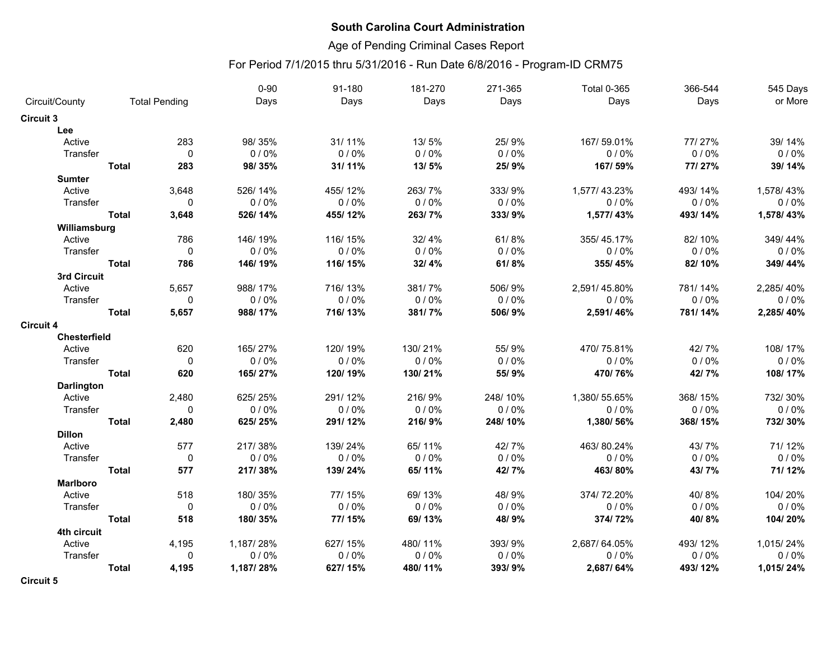### Age of Pending Criminal Cases Report

# For Period 7/1/2015 thru 5/31/2016 - Run Date 6/8/2016 - Program-ID CRM75

| Days<br>Days<br>Days<br>Days<br>or More<br>Circuit/County<br><b>Total Pending</b><br>Days<br>Days<br>Lee<br>Active<br>283<br>98/35%<br>13/5%<br>25/9%<br>77/27%<br>31/11%<br>167/59.01%<br>39/14%<br>$\mathbf 0$<br>0/0%<br>0/0%<br>0/0%<br>0/0%<br>0/0%<br>0/0%<br>0/0%<br>Transfer<br>283<br>98/35%<br>31/11%<br>13/5%<br>25/9%<br>167/59%<br>77/27%<br>39/14%<br><b>Total</b><br><b>Sumter</b><br>3,648<br>526/14%<br>455/12%<br>263/7%<br>333/9%<br>1,577/43.23%<br>493/14%<br>1,578/43%<br>Active<br>$0/0\%$<br>Transfer<br>0/0%<br>0/0%<br>0/0%<br>0/0%<br>$\mathbf 0$<br>0/0%<br>0/0%<br><b>Total</b><br>263/7%<br>333/9%<br>3,648<br>526/14%<br>455/12%<br>1,577/43%<br>493/14%<br>1,578/43%<br>Williamsburg<br>61/8%<br>349/44%<br>786<br>146/19%<br>116/15%<br>32/4%<br>355/45.17%<br>82/10%<br>Active<br>0/0%<br>0/0%<br>0/0%<br>0/0%<br>0/0%<br>0/0%<br>0/0%<br>$\mathbf 0$<br>Transfer<br><b>Total</b><br>786<br>146/19%<br>116/15%<br>32/4%<br>61/8%<br>82/10%<br>349/44%<br>355/45%<br>3rd Circuit<br>5,657<br>381/7%<br>Active<br>988/17%<br>716/13%<br>506/9%<br>2,591/45.80%<br>781/14%<br>2,285/40%<br>$\mathbf 0$<br>$0/0\%$<br>0/0%<br>0/0%<br>0/0%<br>0/0%<br>0/0%<br>0/0%<br>Transfer<br>381/7%<br>506/9%<br><b>Total</b><br>5,657<br>988/17%<br>716/13%<br>2,591/46%<br>781/14%<br>2,285/40%<br><b>Circuit 4</b><br><b>Chesterfield</b><br>620<br>165/27%<br>120/19%<br>130/21%<br>55/9%<br>470/75.81%<br>42/7%<br>108/17%<br>Active<br>$0/0\%$<br>Transfer<br>$\mathbf 0$<br>0/0%<br>0/0%<br>0/0%<br>0/0%<br>$0/0\%$<br>$0/0\%$<br><b>Total</b><br>165/27%<br>130/21%<br>55/9%<br>470/76%<br>42/7%<br>108/17%<br>620<br>120/19%<br><b>Darlington</b><br>625/25%<br>291/12%<br>216/9%<br>248/10%<br>368/15%<br>732/30%<br>Active<br>2,480<br>1,380/55.65%<br>0/0%<br>$0/0\%$<br>0/0%<br>0/0%<br>0/0%<br>$0/0\%$<br>0/0%<br>Transfer<br>$\mathbf 0$<br><b>Total</b><br>2,480<br>625/25%<br>291/12%<br>216/9%<br>248/10%<br>1,380/56%<br>368/15%<br>732/30%<br><b>Dillon</b><br>Active<br>577<br>65/11%<br>42/7%<br>217/38%<br>139/24%<br>463/80.24%<br>43/7%<br>71/12%<br>$\mathbf 0$<br>0/0%<br>0/0%<br>0/0%<br>0/0%<br>0/0%<br>0/0%<br>0/0%<br>Transfer<br>577<br>42/7%<br><b>Total</b><br>217/38%<br>139/24%<br>65/11%<br>463/80%<br>43/7%<br>71/12%<br><b>Marlboro</b><br>Active<br>518<br>180/35%<br>77/15%<br>69/13%<br>48/9%<br>374/72.20%<br>40/8%<br>104/20%<br>$\mathbf 0$<br>0/0%<br>0/0%<br>0/0%<br>0/0%<br>0/0%<br>Transfer<br>0/0%<br>0/0%<br>518<br><b>Total</b><br>180/35%<br>77/15%<br>69/13%<br>48/9%<br>374/72%<br>40/8%<br>104/20%<br>4th circuit<br>1,187/28%<br>1,015/24%<br>Active<br>4,195<br>627/15%<br>480/11%<br>393/9%<br>2,687/64.05%<br>493/12%<br>0/0%<br>0/0%<br>Transfer<br>$\mathbf 0$<br>0/0%<br>0/0%<br>0/0%<br>0/0%<br>0/0%<br><b>Total</b><br>1,187/28%<br>480/11%<br>393/9%<br>2,687/64%<br>1,015/24%<br>4,195<br>627/15%<br>493/12% |                  |  | $0 - 90$ | 91-180 | 181-270 | 271-365 | <b>Total 0-365</b> | 366-544 | 545 Days |
|----------------------------------------------------------------------------------------------------------------------------------------------------------------------------------------------------------------------------------------------------------------------------------------------------------------------------------------------------------------------------------------------------------------------------------------------------------------------------------------------------------------------------------------------------------------------------------------------------------------------------------------------------------------------------------------------------------------------------------------------------------------------------------------------------------------------------------------------------------------------------------------------------------------------------------------------------------------------------------------------------------------------------------------------------------------------------------------------------------------------------------------------------------------------------------------------------------------------------------------------------------------------------------------------------------------------------------------------------------------------------------------------------------------------------------------------------------------------------------------------------------------------------------------------------------------------------------------------------------------------------------------------------------------------------------------------------------------------------------------------------------------------------------------------------------------------------------------------------------------------------------------------------------------------------------------------------------------------------------------------------------------------------------------------------------------------------------------------------------------------------------------------------------------------------------------------------------------------------------------------------------------------------------------------------------------------------------------------------------------------------------------------------------------------------------------------------------------------------------------------------------------------------------------------------------------------------------------------------------------------------------------------------------------------------------------------------------------------------------------------------------------------------------------------------------------------------------------------------------------------------------------------------|------------------|--|----------|--------|---------|---------|--------------------|---------|----------|
|                                                                                                                                                                                                                                                                                                                                                                                                                                                                                                                                                                                                                                                                                                                                                                                                                                                                                                                                                                                                                                                                                                                                                                                                                                                                                                                                                                                                                                                                                                                                                                                                                                                                                                                                                                                                                                                                                                                                                                                                                                                                                                                                                                                                                                                                                                                                                                                                                                                                                                                                                                                                                                                                                                                                                                                                                                                                                                    |                  |  |          |        |         |         |                    |         |          |
|                                                                                                                                                                                                                                                                                                                                                                                                                                                                                                                                                                                                                                                                                                                                                                                                                                                                                                                                                                                                                                                                                                                                                                                                                                                                                                                                                                                                                                                                                                                                                                                                                                                                                                                                                                                                                                                                                                                                                                                                                                                                                                                                                                                                                                                                                                                                                                                                                                                                                                                                                                                                                                                                                                                                                                                                                                                                                                    | <b>Circuit 3</b> |  |          |        |         |         |                    |         |          |
|                                                                                                                                                                                                                                                                                                                                                                                                                                                                                                                                                                                                                                                                                                                                                                                                                                                                                                                                                                                                                                                                                                                                                                                                                                                                                                                                                                                                                                                                                                                                                                                                                                                                                                                                                                                                                                                                                                                                                                                                                                                                                                                                                                                                                                                                                                                                                                                                                                                                                                                                                                                                                                                                                                                                                                                                                                                                                                    |                  |  |          |        |         |         |                    |         |          |
|                                                                                                                                                                                                                                                                                                                                                                                                                                                                                                                                                                                                                                                                                                                                                                                                                                                                                                                                                                                                                                                                                                                                                                                                                                                                                                                                                                                                                                                                                                                                                                                                                                                                                                                                                                                                                                                                                                                                                                                                                                                                                                                                                                                                                                                                                                                                                                                                                                                                                                                                                                                                                                                                                                                                                                                                                                                                                                    |                  |  |          |        |         |         |                    |         |          |
|                                                                                                                                                                                                                                                                                                                                                                                                                                                                                                                                                                                                                                                                                                                                                                                                                                                                                                                                                                                                                                                                                                                                                                                                                                                                                                                                                                                                                                                                                                                                                                                                                                                                                                                                                                                                                                                                                                                                                                                                                                                                                                                                                                                                                                                                                                                                                                                                                                                                                                                                                                                                                                                                                                                                                                                                                                                                                                    |                  |  |          |        |         |         |                    |         |          |
|                                                                                                                                                                                                                                                                                                                                                                                                                                                                                                                                                                                                                                                                                                                                                                                                                                                                                                                                                                                                                                                                                                                                                                                                                                                                                                                                                                                                                                                                                                                                                                                                                                                                                                                                                                                                                                                                                                                                                                                                                                                                                                                                                                                                                                                                                                                                                                                                                                                                                                                                                                                                                                                                                                                                                                                                                                                                                                    |                  |  |          |        |         |         |                    |         |          |
|                                                                                                                                                                                                                                                                                                                                                                                                                                                                                                                                                                                                                                                                                                                                                                                                                                                                                                                                                                                                                                                                                                                                                                                                                                                                                                                                                                                                                                                                                                                                                                                                                                                                                                                                                                                                                                                                                                                                                                                                                                                                                                                                                                                                                                                                                                                                                                                                                                                                                                                                                                                                                                                                                                                                                                                                                                                                                                    |                  |  |          |        |         |         |                    |         |          |
|                                                                                                                                                                                                                                                                                                                                                                                                                                                                                                                                                                                                                                                                                                                                                                                                                                                                                                                                                                                                                                                                                                                                                                                                                                                                                                                                                                                                                                                                                                                                                                                                                                                                                                                                                                                                                                                                                                                                                                                                                                                                                                                                                                                                                                                                                                                                                                                                                                                                                                                                                                                                                                                                                                                                                                                                                                                                                                    |                  |  |          |        |         |         |                    |         |          |
|                                                                                                                                                                                                                                                                                                                                                                                                                                                                                                                                                                                                                                                                                                                                                                                                                                                                                                                                                                                                                                                                                                                                                                                                                                                                                                                                                                                                                                                                                                                                                                                                                                                                                                                                                                                                                                                                                                                                                                                                                                                                                                                                                                                                                                                                                                                                                                                                                                                                                                                                                                                                                                                                                                                                                                                                                                                                                                    |                  |  |          |        |         |         |                    |         |          |
|                                                                                                                                                                                                                                                                                                                                                                                                                                                                                                                                                                                                                                                                                                                                                                                                                                                                                                                                                                                                                                                                                                                                                                                                                                                                                                                                                                                                                                                                                                                                                                                                                                                                                                                                                                                                                                                                                                                                                                                                                                                                                                                                                                                                                                                                                                                                                                                                                                                                                                                                                                                                                                                                                                                                                                                                                                                                                                    |                  |  |          |        |         |         |                    |         |          |
|                                                                                                                                                                                                                                                                                                                                                                                                                                                                                                                                                                                                                                                                                                                                                                                                                                                                                                                                                                                                                                                                                                                                                                                                                                                                                                                                                                                                                                                                                                                                                                                                                                                                                                                                                                                                                                                                                                                                                                                                                                                                                                                                                                                                                                                                                                                                                                                                                                                                                                                                                                                                                                                                                                                                                                                                                                                                                                    |                  |  |          |        |         |         |                    |         |          |
|                                                                                                                                                                                                                                                                                                                                                                                                                                                                                                                                                                                                                                                                                                                                                                                                                                                                                                                                                                                                                                                                                                                                                                                                                                                                                                                                                                                                                                                                                                                                                                                                                                                                                                                                                                                                                                                                                                                                                                                                                                                                                                                                                                                                                                                                                                                                                                                                                                                                                                                                                                                                                                                                                                                                                                                                                                                                                                    |                  |  |          |        |         |         |                    |         |          |
|                                                                                                                                                                                                                                                                                                                                                                                                                                                                                                                                                                                                                                                                                                                                                                                                                                                                                                                                                                                                                                                                                                                                                                                                                                                                                                                                                                                                                                                                                                                                                                                                                                                                                                                                                                                                                                                                                                                                                                                                                                                                                                                                                                                                                                                                                                                                                                                                                                                                                                                                                                                                                                                                                                                                                                                                                                                                                                    |                  |  |          |        |         |         |                    |         |          |
|                                                                                                                                                                                                                                                                                                                                                                                                                                                                                                                                                                                                                                                                                                                                                                                                                                                                                                                                                                                                                                                                                                                                                                                                                                                                                                                                                                                                                                                                                                                                                                                                                                                                                                                                                                                                                                                                                                                                                                                                                                                                                                                                                                                                                                                                                                                                                                                                                                                                                                                                                                                                                                                                                                                                                                                                                                                                                                    |                  |  |          |        |         |         |                    |         |          |
|                                                                                                                                                                                                                                                                                                                                                                                                                                                                                                                                                                                                                                                                                                                                                                                                                                                                                                                                                                                                                                                                                                                                                                                                                                                                                                                                                                                                                                                                                                                                                                                                                                                                                                                                                                                                                                                                                                                                                                                                                                                                                                                                                                                                                                                                                                                                                                                                                                                                                                                                                                                                                                                                                                                                                                                                                                                                                                    |                  |  |          |        |         |         |                    |         |          |
|                                                                                                                                                                                                                                                                                                                                                                                                                                                                                                                                                                                                                                                                                                                                                                                                                                                                                                                                                                                                                                                                                                                                                                                                                                                                                                                                                                                                                                                                                                                                                                                                                                                                                                                                                                                                                                                                                                                                                                                                                                                                                                                                                                                                                                                                                                                                                                                                                                                                                                                                                                                                                                                                                                                                                                                                                                                                                                    |                  |  |          |        |         |         |                    |         |          |
|                                                                                                                                                                                                                                                                                                                                                                                                                                                                                                                                                                                                                                                                                                                                                                                                                                                                                                                                                                                                                                                                                                                                                                                                                                                                                                                                                                                                                                                                                                                                                                                                                                                                                                                                                                                                                                                                                                                                                                                                                                                                                                                                                                                                                                                                                                                                                                                                                                                                                                                                                                                                                                                                                                                                                                                                                                                                                                    |                  |  |          |        |         |         |                    |         |          |
|                                                                                                                                                                                                                                                                                                                                                                                                                                                                                                                                                                                                                                                                                                                                                                                                                                                                                                                                                                                                                                                                                                                                                                                                                                                                                                                                                                                                                                                                                                                                                                                                                                                                                                                                                                                                                                                                                                                                                                                                                                                                                                                                                                                                                                                                                                                                                                                                                                                                                                                                                                                                                                                                                                                                                                                                                                                                                                    |                  |  |          |        |         |         |                    |         |          |
|                                                                                                                                                                                                                                                                                                                                                                                                                                                                                                                                                                                                                                                                                                                                                                                                                                                                                                                                                                                                                                                                                                                                                                                                                                                                                                                                                                                                                                                                                                                                                                                                                                                                                                                                                                                                                                                                                                                                                                                                                                                                                                                                                                                                                                                                                                                                                                                                                                                                                                                                                                                                                                                                                                                                                                                                                                                                                                    |                  |  |          |        |         |         |                    |         |          |
|                                                                                                                                                                                                                                                                                                                                                                                                                                                                                                                                                                                                                                                                                                                                                                                                                                                                                                                                                                                                                                                                                                                                                                                                                                                                                                                                                                                                                                                                                                                                                                                                                                                                                                                                                                                                                                                                                                                                                                                                                                                                                                                                                                                                                                                                                                                                                                                                                                                                                                                                                                                                                                                                                                                                                                                                                                                                                                    |                  |  |          |        |         |         |                    |         |          |
|                                                                                                                                                                                                                                                                                                                                                                                                                                                                                                                                                                                                                                                                                                                                                                                                                                                                                                                                                                                                                                                                                                                                                                                                                                                                                                                                                                                                                                                                                                                                                                                                                                                                                                                                                                                                                                                                                                                                                                                                                                                                                                                                                                                                                                                                                                                                                                                                                                                                                                                                                                                                                                                                                                                                                                                                                                                                                                    |                  |  |          |        |         |         |                    |         |          |
|                                                                                                                                                                                                                                                                                                                                                                                                                                                                                                                                                                                                                                                                                                                                                                                                                                                                                                                                                                                                                                                                                                                                                                                                                                                                                                                                                                                                                                                                                                                                                                                                                                                                                                                                                                                                                                                                                                                                                                                                                                                                                                                                                                                                                                                                                                                                                                                                                                                                                                                                                                                                                                                                                                                                                                                                                                                                                                    |                  |  |          |        |         |         |                    |         |          |
|                                                                                                                                                                                                                                                                                                                                                                                                                                                                                                                                                                                                                                                                                                                                                                                                                                                                                                                                                                                                                                                                                                                                                                                                                                                                                                                                                                                                                                                                                                                                                                                                                                                                                                                                                                                                                                                                                                                                                                                                                                                                                                                                                                                                                                                                                                                                                                                                                                                                                                                                                                                                                                                                                                                                                                                                                                                                                                    |                  |  |          |        |         |         |                    |         |          |
|                                                                                                                                                                                                                                                                                                                                                                                                                                                                                                                                                                                                                                                                                                                                                                                                                                                                                                                                                                                                                                                                                                                                                                                                                                                                                                                                                                                                                                                                                                                                                                                                                                                                                                                                                                                                                                                                                                                                                                                                                                                                                                                                                                                                                                                                                                                                                                                                                                                                                                                                                                                                                                                                                                                                                                                                                                                                                                    |                  |  |          |        |         |         |                    |         |          |
|                                                                                                                                                                                                                                                                                                                                                                                                                                                                                                                                                                                                                                                                                                                                                                                                                                                                                                                                                                                                                                                                                                                                                                                                                                                                                                                                                                                                                                                                                                                                                                                                                                                                                                                                                                                                                                                                                                                                                                                                                                                                                                                                                                                                                                                                                                                                                                                                                                                                                                                                                                                                                                                                                                                                                                                                                                                                                                    |                  |  |          |        |         |         |                    |         |          |
|                                                                                                                                                                                                                                                                                                                                                                                                                                                                                                                                                                                                                                                                                                                                                                                                                                                                                                                                                                                                                                                                                                                                                                                                                                                                                                                                                                                                                                                                                                                                                                                                                                                                                                                                                                                                                                                                                                                                                                                                                                                                                                                                                                                                                                                                                                                                                                                                                                                                                                                                                                                                                                                                                                                                                                                                                                                                                                    |                  |  |          |        |         |         |                    |         |          |
|                                                                                                                                                                                                                                                                                                                                                                                                                                                                                                                                                                                                                                                                                                                                                                                                                                                                                                                                                                                                                                                                                                                                                                                                                                                                                                                                                                                                                                                                                                                                                                                                                                                                                                                                                                                                                                                                                                                                                                                                                                                                                                                                                                                                                                                                                                                                                                                                                                                                                                                                                                                                                                                                                                                                                                                                                                                                                                    |                  |  |          |        |         |         |                    |         |          |
|                                                                                                                                                                                                                                                                                                                                                                                                                                                                                                                                                                                                                                                                                                                                                                                                                                                                                                                                                                                                                                                                                                                                                                                                                                                                                                                                                                                                                                                                                                                                                                                                                                                                                                                                                                                                                                                                                                                                                                                                                                                                                                                                                                                                                                                                                                                                                                                                                                                                                                                                                                                                                                                                                                                                                                                                                                                                                                    |                  |  |          |        |         |         |                    |         |          |
|                                                                                                                                                                                                                                                                                                                                                                                                                                                                                                                                                                                                                                                                                                                                                                                                                                                                                                                                                                                                                                                                                                                                                                                                                                                                                                                                                                                                                                                                                                                                                                                                                                                                                                                                                                                                                                                                                                                                                                                                                                                                                                                                                                                                                                                                                                                                                                                                                                                                                                                                                                                                                                                                                                                                                                                                                                                                                                    |                  |  |          |        |         |         |                    |         |          |
|                                                                                                                                                                                                                                                                                                                                                                                                                                                                                                                                                                                                                                                                                                                                                                                                                                                                                                                                                                                                                                                                                                                                                                                                                                                                                                                                                                                                                                                                                                                                                                                                                                                                                                                                                                                                                                                                                                                                                                                                                                                                                                                                                                                                                                                                                                                                                                                                                                                                                                                                                                                                                                                                                                                                                                                                                                                                                                    |                  |  |          |        |         |         |                    |         |          |
|                                                                                                                                                                                                                                                                                                                                                                                                                                                                                                                                                                                                                                                                                                                                                                                                                                                                                                                                                                                                                                                                                                                                                                                                                                                                                                                                                                                                                                                                                                                                                                                                                                                                                                                                                                                                                                                                                                                                                                                                                                                                                                                                                                                                                                                                                                                                                                                                                                                                                                                                                                                                                                                                                                                                                                                                                                                                                                    |                  |  |          |        |         |         |                    |         |          |
|                                                                                                                                                                                                                                                                                                                                                                                                                                                                                                                                                                                                                                                                                                                                                                                                                                                                                                                                                                                                                                                                                                                                                                                                                                                                                                                                                                                                                                                                                                                                                                                                                                                                                                                                                                                                                                                                                                                                                                                                                                                                                                                                                                                                                                                                                                                                                                                                                                                                                                                                                                                                                                                                                                                                                                                                                                                                                                    |                  |  |          |        |         |         |                    |         |          |
|                                                                                                                                                                                                                                                                                                                                                                                                                                                                                                                                                                                                                                                                                                                                                                                                                                                                                                                                                                                                                                                                                                                                                                                                                                                                                                                                                                                                                                                                                                                                                                                                                                                                                                                                                                                                                                                                                                                                                                                                                                                                                                                                                                                                                                                                                                                                                                                                                                                                                                                                                                                                                                                                                                                                                                                                                                                                                                    |                  |  |          |        |         |         |                    |         |          |
|                                                                                                                                                                                                                                                                                                                                                                                                                                                                                                                                                                                                                                                                                                                                                                                                                                                                                                                                                                                                                                                                                                                                                                                                                                                                                                                                                                                                                                                                                                                                                                                                                                                                                                                                                                                                                                                                                                                                                                                                                                                                                                                                                                                                                                                                                                                                                                                                                                                                                                                                                                                                                                                                                                                                                                                                                                                                                                    |                  |  |          |        |         |         |                    |         |          |
|                                                                                                                                                                                                                                                                                                                                                                                                                                                                                                                                                                                                                                                                                                                                                                                                                                                                                                                                                                                                                                                                                                                                                                                                                                                                                                                                                                                                                                                                                                                                                                                                                                                                                                                                                                                                                                                                                                                                                                                                                                                                                                                                                                                                                                                                                                                                                                                                                                                                                                                                                                                                                                                                                                                                                                                                                                                                                                    |                  |  |          |        |         |         |                    |         |          |
|                                                                                                                                                                                                                                                                                                                                                                                                                                                                                                                                                                                                                                                                                                                                                                                                                                                                                                                                                                                                                                                                                                                                                                                                                                                                                                                                                                                                                                                                                                                                                                                                                                                                                                                                                                                                                                                                                                                                                                                                                                                                                                                                                                                                                                                                                                                                                                                                                                                                                                                                                                                                                                                                                                                                                                                                                                                                                                    |                  |  |          |        |         |         |                    |         |          |
|                                                                                                                                                                                                                                                                                                                                                                                                                                                                                                                                                                                                                                                                                                                                                                                                                                                                                                                                                                                                                                                                                                                                                                                                                                                                                                                                                                                                                                                                                                                                                                                                                                                                                                                                                                                                                                                                                                                                                                                                                                                                                                                                                                                                                                                                                                                                                                                                                                                                                                                                                                                                                                                                                                                                                                                                                                                                                                    |                  |  |          |        |         |         |                    |         |          |
|                                                                                                                                                                                                                                                                                                                                                                                                                                                                                                                                                                                                                                                                                                                                                                                                                                                                                                                                                                                                                                                                                                                                                                                                                                                                                                                                                                                                                                                                                                                                                                                                                                                                                                                                                                                                                                                                                                                                                                                                                                                                                                                                                                                                                                                                                                                                                                                                                                                                                                                                                                                                                                                                                                                                                                                                                                                                                                    |                  |  |          |        |         |         |                    |         |          |
|                                                                                                                                                                                                                                                                                                                                                                                                                                                                                                                                                                                                                                                                                                                                                                                                                                                                                                                                                                                                                                                                                                                                                                                                                                                                                                                                                                                                                                                                                                                                                                                                                                                                                                                                                                                                                                                                                                                                                                                                                                                                                                                                                                                                                                                                                                                                                                                                                                                                                                                                                                                                                                                                                                                                                                                                                                                                                                    |                  |  |          |        |         |         |                    |         |          |

**Circuit 5**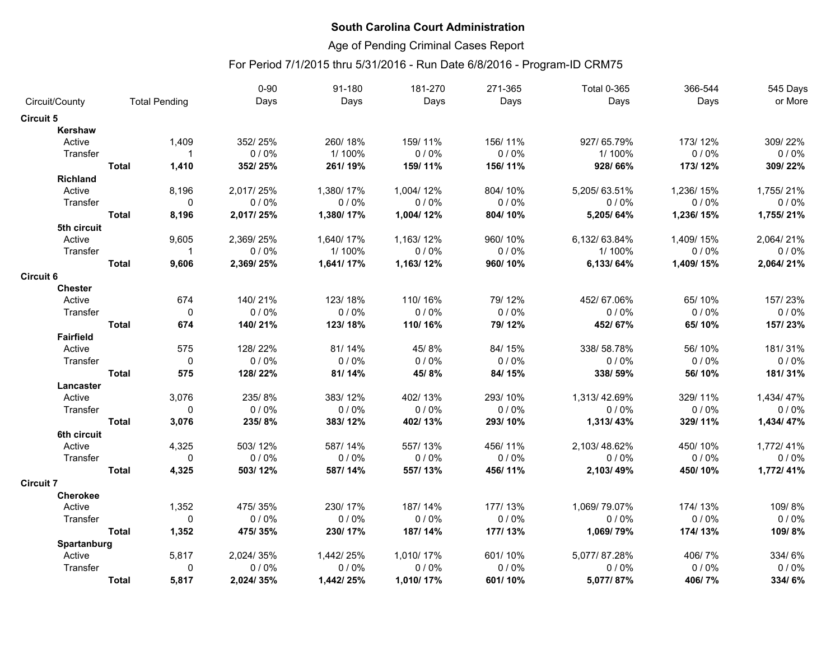# Age of Pending Criminal Cases Report

|                  |              |                      | $0 - 90$  | 91-180    | 181-270   | 271-365 | <b>Total 0-365</b> | 366-544   | 545 Days  |
|------------------|--------------|----------------------|-----------|-----------|-----------|---------|--------------------|-----------|-----------|
| Circuit/County   |              | <b>Total Pending</b> | Days      | Days      | Days      | Days    | Days               | Days      | or More   |
| <b>Circuit 5</b> |              |                      |           |           |           |         |                    |           |           |
| Kershaw          |              |                      |           |           |           |         |                    |           |           |
| Active           |              | 1,409                | 352/25%   | 260/18%   | 159/11%   | 156/11% | 927/65.79%         | 173/12%   | 309/22%   |
| Transfer         |              | $\overline{1}$       | 0/0%      | 1/100%    | 0/0%      | 0/0%    | 1/100%             | 0/0%      | 0/0%      |
|                  | <b>Total</b> | 1,410                | 352/25%   | 261/19%   | 159/11%   | 156/11% | 928/66%            | 173/12%   | 309/22%   |
| <b>Richland</b>  |              |                      |           |           |           |         |                    |           |           |
| Active           |              | 8,196                | 2,017/25% | 1,380/17% | 1,004/12% | 804/10% | 5,205/63.51%       | 1,236/15% | 1,755/21% |
| Transfer         |              | $\mathbf 0$          | 0/0%      | 0/0%      | 0/0%      | 0/0%    | 0/0%               | 0/0%      | 0/0%      |
|                  | <b>Total</b> | 8,196                | 2,017/25% | 1,380/17% | 1,004/12% | 804/10% | 5,205/64%          | 1,236/15% | 1,755/21% |
| 5th circuit      |              |                      |           |           |           |         |                    |           |           |
| Active           |              | 9,605                | 2,369/25% | 1,640/17% | 1,163/12% | 960/10% | 6,132/63.84%       | 1,409/15% | 2,064/21% |
| Transfer         |              | $\overline{1}$       | 0/0%      | 1/100%    | 0/0%      | 0/0%    | 1/100%             | 0/0%      | 0/0%      |
|                  | <b>Total</b> | 9,606                | 2,369/25% | 1,641/17% | 1,163/12% | 960/10% | 6,133/64%          | 1,409/15% | 2,064/21% |
| <b>Circuit 6</b> |              |                      |           |           |           |         |                    |           |           |
| Chester          |              |                      |           |           |           |         |                    |           |           |
| Active           |              | 674                  | 140/21%   | 123/18%   | 110/16%   | 79/12%  | 452/67.06%         | 65/10%    | 157/23%   |
| Transfer         |              | $\mathbf 0$          | 0/0%      | 0/0%      | 0/0%      | 0/0%    | 0/0%               | 0/0%      | 0/0%      |
|                  | <b>Total</b> | 674                  | 140/21%   | 123/18%   | 110/16%   | 79/12%  | 452/67%            | 65/10%    | 157/23%   |
| <b>Fairfield</b> |              |                      |           |           |           |         |                    |           |           |
| Active           |              | 575                  | 128/22%   | 81/14%    | 45/8%     | 84/15%  | 338/58.78%         | 56/10%    | 181/31%   |
| Transfer         |              | $\mathbf 0$          | 0/0%      | 0/0%      | 0/0%      | 0/0%    | 0/0%               | 0/0%      | 0/0%      |
|                  | <b>Total</b> | 575                  | 128/22%   | 81/14%    | 45/8%     | 84/15%  | 338/59%            | 56/10%    | 181/31%   |
| Lancaster        |              |                      |           |           |           |         |                    |           |           |
| Active           |              | 3,076                | 235/8%    | 383/12%   | 402/13%   | 293/10% | 1,313/42.69%       | 329/11%   | 1,434/47% |
| Transfer         |              | $\mathbf 0$          | 0/0%      | 0/0%      | 0/0%      | 0/0%    | 0/0%               | $0/0\%$   | 0/0%      |
|                  | <b>Total</b> | 3,076                | 235/8%    | 383/12%   | 402/13%   | 293/10% | 1,313/43%          | 329/11%   | 1,434/47% |
| 6th circuit      |              |                      |           |           |           |         |                    |           |           |
| Active           |              | 4,325                | 503/12%   | 587/14%   | 557/13%   | 456/11% | 2,103/48.62%       | 450/10%   | 1,772/41% |
| Transfer         |              | $\mathbf 0$          | 0/0%      | 0/0%      | 0/0%      | 0/0%    | 0/0%               | 0/0%      | 0/0%      |
|                  | <b>Total</b> | 4,325                | 503/12%   | 587/14%   | 557/13%   | 456/11% | 2,103/49%          | 450/10%   | 1,772/41% |
| <b>Circuit 7</b> |              |                      |           |           |           |         |                    |           |           |
| <b>Cherokee</b>  |              |                      |           |           |           |         |                    |           |           |
| Active           |              | 1,352                | 475/35%   | 230/17%   | 187/14%   | 177/13% | 1,069/79.07%       | 174/13%   | 109/8%    |
| Transfer         |              | $\mathbf{0}$         | 0/0%      | 0/0%      | 0/0%      | 0/0%    | 0/0%               | 0/0%      | 0/0%      |
|                  | <b>Total</b> | 1,352                | 475/35%   | 230/17%   | 187/14%   | 177/13% | 1,069/79%          | 174/13%   | 109/8%    |
| Spartanburg      |              |                      |           |           |           |         |                    |           |           |
| Active           |              | 5,817                | 2,024/35% | 1,442/25% | 1,010/17% | 601/10% | 5,077/87.28%       | 406/7%    | 334/6%    |
| Transfer         |              | $\mathbf 0$          | 0/0%      | 0/0%      | 0/0%      | 0/0%    | 0/0%               | 0/0%      | 0/0%      |
|                  | <b>Total</b> | 5,817                | 2,024/35% | 1,442/25% | 1,010/17% | 601/10% | 5,077/87%          | 406/7%    | 334/6%    |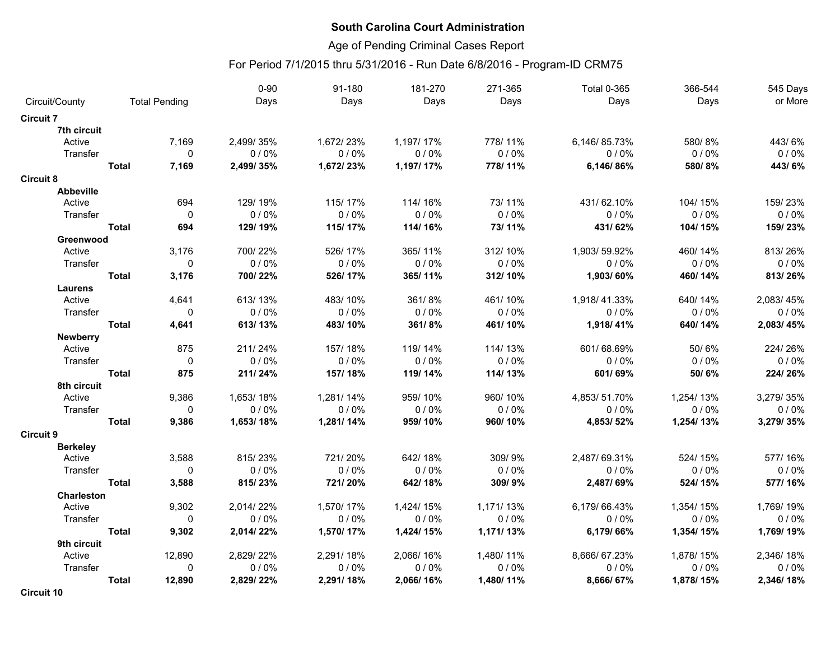### Age of Pending Criminal Cases Report

|                   |              |                      | $0 - 90$  | 91-180    | 181-270    | 271-365   | <b>Total 0-365</b> | 366-544   | 545 Days  |
|-------------------|--------------|----------------------|-----------|-----------|------------|-----------|--------------------|-----------|-----------|
| Circuit/County    |              | <b>Total Pending</b> | Days      | Days      | Days       | Days      | Days               | Days      | or More   |
| <b>Circuit 7</b>  |              |                      |           |           |            |           |                    |           |           |
| 7th circuit       |              |                      |           |           |            |           |                    |           |           |
| Active            |              | 7,169                | 2,499/35% | 1,672/23% | 1,197/17%  | 778/11%   | 6,146/85.73%       | 580/8%    | 443/6%    |
| Transfer          |              | $\mathbf 0$          | 0/0%      | 0/0%      | 0/0%       | 0/0%      | 0/0%               | 0/0%      | 0/0%      |
|                   | <b>Total</b> | 7,169                | 2,499/35% | 1,672/23% | 1,197/17%  | 778/11%   | 6,146/86%          | 580/8%    | 443/6%    |
| <b>Circuit 8</b>  |              |                      |           |           |            |           |                    |           |           |
| <b>Abbeville</b>  |              |                      |           |           |            |           |                    |           |           |
| Active            |              | 694                  | 129/19%   | 115/17%   | 114/16%    | 73/11%    | 431/62.10%         | 104/15%   | 159/23%   |
| Transfer          |              | $\mathbf{0}$         | 0/0%      | 0/0%      | 0/0%       | 0/0%      | 0/0%               | 0/0%      | 0/0%      |
|                   | <b>Total</b> | 694                  | 129/19%   | 115/17%   | 114/16%    | 73/11%    | 431/62%            | 104/15%   | 159/23%   |
| Greenwood         |              |                      |           |           |            |           |                    |           |           |
| Active            |              | 3,176                | 700/22%   | 526/17%   | 365/11%    | 312/10%   | 1,903/59.92%       | 460/14%   | 813/26%   |
| Transfer          |              | $\mathbf 0$          | 0/0%      | 0/0%      | 0/0%       | $0/0\%$   | 0/0%               | 0/0%      | 0/0%      |
|                   | <b>Total</b> | 3,176                | 700/22%   | 526/17%   | 365/11%    | 312/10%   | 1,903/60%          | 460/14%   | 813/26%   |
| <b>Laurens</b>    |              |                      |           |           |            |           |                    |           |           |
| Active            |              | 4,641                | 613/13%   | 483/10%   | 361/8%     | 461/10%   | 1,918/41.33%       | 640/14%   | 2,083/45% |
| Transfer          |              | $\mathbf{0}$         | 0/0%      | 0/0%      | 0/0%       | 0/0%      | 0/0%               | 0/0%      | 0/0%      |
|                   | <b>Total</b> | 4,641                | 613/13%   | 483/10%   | 361/8%     | 461/10%   | 1,918/41%          | 640/14%   | 2,083/45% |
| <b>Newberry</b>   |              |                      |           |           |            |           |                    |           |           |
| Active            |              | 875                  | 211/24%   | 157/18%   | 119/14%    | 114/13%   | 601/68.69%         | 50/6%     | 224/26%   |
| Transfer          |              | $\mathbf 0$          | 0/0%      | 0/0%      | 0/0%       | 0/0%      | $0/0\%$            | 0/0%      | 0/0%      |
|                   | <b>Total</b> | 875                  | 211/24%   | 157/18%   | 119/14%    | 114/13%   | 601/69%            | 50/6%     | 224/26%   |
| 8th circuit       |              |                      |           |           |            |           |                    |           |           |
| Active            |              | 9,386                | 1,653/18% | 1,281/14% | 959/10%    | 960/10%   | 4,853/51.70%       | 1,254/13% | 3,279/35% |
| Transfer          |              | $\mathbf{0}$         | 0/0%      | 0/0%      | 0/0%       | 0/0%      | 0/0%               | 0/0%      | 0/0%      |
|                   | <b>Total</b> | 9,386                | 1,653/18% | 1,281/14% | 959/10%    | 960/10%   | 4,853/52%          | 1,254/13% | 3,279/35% |
| <b>Circuit 9</b>  |              |                      |           |           |            |           |                    |           |           |
| <b>Berkeley</b>   |              |                      |           |           |            |           |                    |           |           |
| Active            |              | 3,588                | 815/23%   | 721/20%   | 642/18%    | 309/9%    | 2,487/69.31%       | 524/15%   | 577/16%   |
| Transfer          |              | $\mathbf{0}$         | 0/0%      | $0/0\%$   | 0/0%       | 0/0%      | 0/0%               | 0/0%      | 0/0%      |
|                   | <b>Total</b> | 3,588                | 815/23%   | 721/20%   | 642/18%    | 309/9%    | 2,487/69%          | 524/15%   | 577/16%   |
| Charleston        |              |                      |           |           |            |           |                    |           |           |
| Active            |              | 9,302                | 2,014/22% | 1,570/17% | 1,424/15%  | 1,171/13% | 6,179/66.43%       | 1,354/15% | 1,769/19% |
| Transfer          |              | $\mathbf 0$          | 0/0%      | 0/0%      | 0/0%       | 0/0%      | 0/0%               | 0/0%      | 0/0%      |
|                   | <b>Total</b> | 9,302                | 2,014/22% | 1,570/17% | 1,424/ 15% | 1,171/13% | 6,179/66%          | 1,354/15% | 1,769/19% |
| 9th circuit       |              |                      |           |           |            |           |                    |           |           |
| Active            |              | 12,890               | 2,829/22% | 2,291/18% | 2,066/16%  | 1,480/11% | 8,666/67.23%       | 1,878/15% | 2,346/18% |
| Transfer          |              | $\mathbf{0}$         | 0/0%      | 0/0%      | 0/0%       | 0/0%      | 0/0%               | 0/0%      | 0/0%      |
|                   | <b>Total</b> | 12,890               | 2,829/22% | 2,291/18% | 2,066/16%  | 1,480/11% | 8,666/67%          | 1,878/15% | 2,346/18% |
| <b>Circuit 10</b> |              |                      |           |           |            |           |                    |           |           |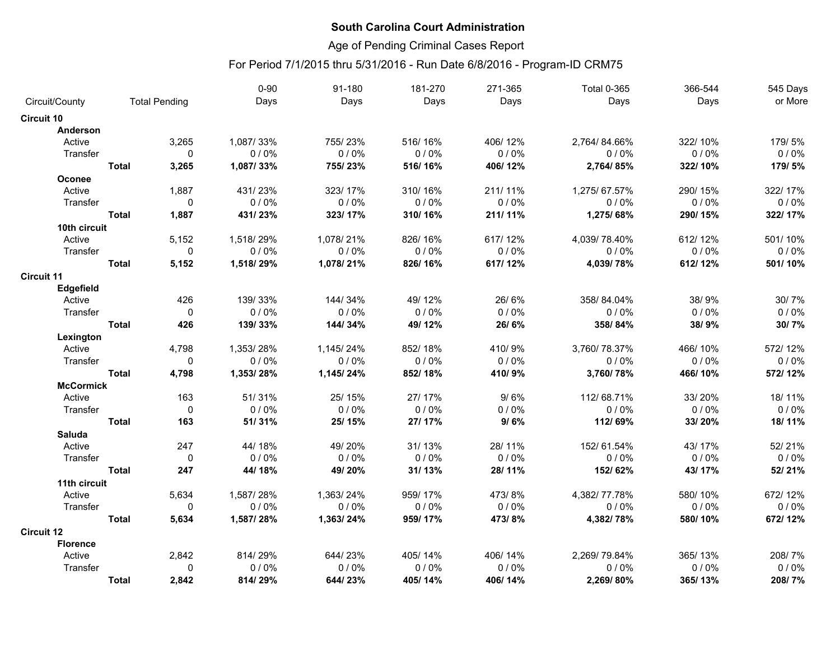# Age of Pending Criminal Cases Report

|                   |              |                      | $0 - 90$  | 91-180    | 181-270 | 271-365 | <b>Total 0-365</b> | 366-544 | 545 Days |
|-------------------|--------------|----------------------|-----------|-----------|---------|---------|--------------------|---------|----------|
| Circuit/County    |              | <b>Total Pending</b> | Days      | Days      | Days    | Days    | Days               | Days    | or More  |
| <b>Circuit 10</b> |              |                      |           |           |         |         |                    |         |          |
| Anderson          |              |                      |           |           |         |         |                    |         |          |
| Active            |              | 3,265                | 1,087/33% | 755/23%   | 516/16% | 406/12% | 2,764/84.66%       | 322/10% | 179/5%   |
| Transfer          |              | $\mathbf 0$          | 0/0%      | 0/0%      | 0/0%    | 0/0%    | 0/0%               | 0/0%    | 0/0%     |
|                   | <b>Total</b> | 3,265                | 1,087/33% | 755/23%   | 516/16% | 406/12% | 2,764/85%          | 322/10% | 179/5%   |
| <b>Oconee</b>     |              |                      |           |           |         |         |                    |         |          |
| Active            |              | 1,887                | 431/23%   | 323/17%   | 310/16% | 211/11% | 1,275/67.57%       | 290/15% | 322/17%  |
| Transfer          |              | $\mathbf 0$          | 0/0%      | 0/0%      | 0/0%    | 0/0%    | 0/0%               | 0/0%    | 0/0%     |
|                   | <b>Total</b> | 1,887                | 431/23%   | 323/17%   | 310/16% | 211/11% | 1,275/68%          | 290/15% | 322/17%  |
| 10th circuit      |              |                      |           |           |         |         |                    |         |          |
| Active            |              | 5,152                | 1,518/29% | 1,078/21% | 826/16% | 617/12% | 4,039/78.40%       | 612/12% | 501/10%  |
| Transfer          |              | $\mathbf 0$          | 0/0%      | 0/0%      | 0/0%    | 0/0%    | 0/0%               | 0/0%    | 0/0%     |
|                   | <b>Total</b> | 5,152                | 1,518/29% | 1,078/21% | 826/16% | 617/12% | 4,039/78%          | 612/12% | 501/10%  |
| <b>Circuit 11</b> |              |                      |           |           |         |         |                    |         |          |
| Edgefield         |              |                      |           |           |         |         |                    |         |          |
| Active            |              | 426                  | 139/33%   | 144/34%   | 49/12%  | 26/6%   | 358/84.04%         | 38/9%   | 30/7%    |
| Transfer          |              | $\mathbf 0$          | 0/0%      | 0/0%      | 0/0%    | 0/0%    | 0/0%               | 0/0%    | 0/0%     |
|                   | <b>Total</b> | 426                  | 139/33%   | 144/34%   | 49/12%  | 26/6%   | 358/84%            | 38/9%   | 30/7%    |
| Lexington         |              |                      |           |           |         |         |                    |         |          |
| Active            |              | 4,798                | 1,353/28% | 1,145/24% | 852/18% | 410/9%  | 3,760/78.37%       | 466/10% | 572/12%  |
| Transfer          |              | $\mathbf 0$          | 0/0%      | 0/0%      | 0/0%    | 0/0%    | 0/0%               | 0/0%    | 0/0%     |
|                   | <b>Total</b> | 4,798                | 1,353/28% | 1,145/24% | 852/18% | 410/9%  | 3,760/78%          | 466/10% | 572/12%  |
| <b>McCormick</b>  |              |                      |           |           |         |         |                    |         |          |
| Active            |              | 163                  | 51/31%    | 25/15%    | 27/17%  | 9/6%    | 112/68.71%         | 33/20%  | 18/11%   |
| Transfer          |              | $\mathbf 0$          | 0/0%      | 0/0%      | 0/0%    | 0/0%    | 0/0%               | 0/0%    | 0/0%     |
|                   | <b>Total</b> | 163                  | 51/31%    | 25/15%    | 27/17%  | 9/6%    | 112/69%            | 33/20%  | 18/11%   |
| <b>Saluda</b>     |              |                      |           |           |         |         |                    |         |          |
| Active            |              | 247                  | 44/18%    | 49/20%    | 31/13%  | 28/11%  | 152/61.54%         | 43/17%  | 52/21%   |
| Transfer          |              | $\mathbf 0$          | 0/0%      | 0/0%      | 0/0%    | 0/0%    | 0/0%               | 0/0%    | 0/0%     |
|                   | <b>Total</b> | 247                  | 44/18%    | 49/20%    | 31/13%  | 28/11%  | 152/62%            | 43/17%  | 52/21%   |
| 11th circuit      |              |                      |           |           |         |         |                    |         |          |
| Active            |              | 5,634                | 1,587/28% | 1,363/24% | 959/17% | 473/8%  | 4,382/77.78%       | 580/10% | 672/12%  |
| Transfer          |              | $\mathbf 0$          | 0/0%      | 0/0%      | 0/0%    | 0/0%    | 0/0%               | 0/0%    | 0/0%     |
|                   | <b>Total</b> | 5,634                | 1,587/28% | 1,363/24% | 959/17% | 473/8%  | 4,382/78%          | 580/10% | 672/12%  |
| <b>Circuit 12</b> |              |                      |           |           |         |         |                    |         |          |
| <b>Florence</b>   |              |                      |           |           |         |         |                    |         |          |
| Active            |              | 2,842                | 814/29%   | 644/23%   | 405/14% | 406/14% | 2,269/79.84%       | 365/13% | 208/7%   |
| Transfer          |              | $\mathbf 0$          | 0/0%      | 0/0%      | 0/0%    | 0/0%    | 0/0%               | 0/0%    | 0/0%     |
|                   | <b>Total</b> | 2,842                | 814/29%   | 644/23%   | 405/14% | 406/14% | 2,269/80%          | 365/13% | 208/7%   |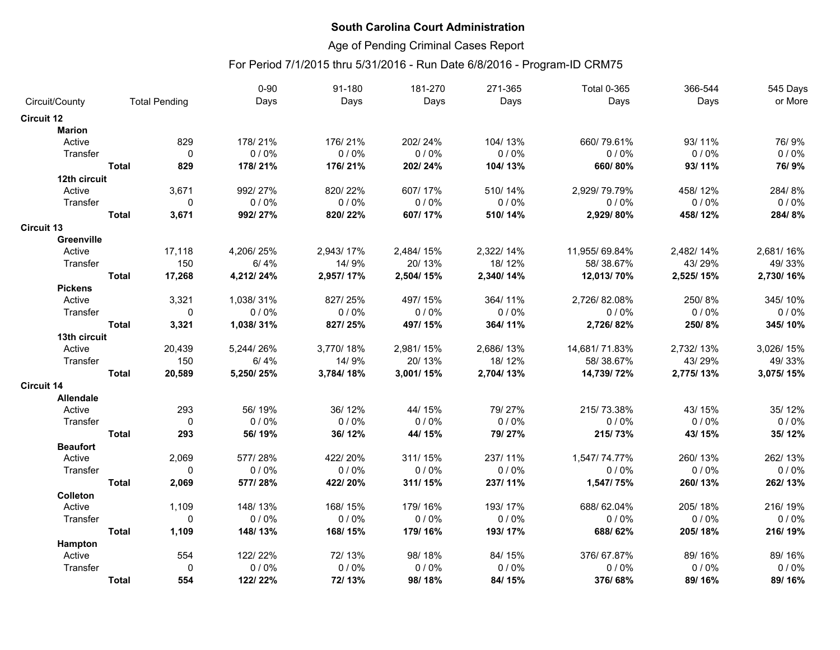# Age of Pending Criminal Cases Report

|                   |              |                      | $0 - 90$  | 91-180    | 181-270   | 271-365   | <b>Total 0-365</b> | 366-544   | 545 Days  |
|-------------------|--------------|----------------------|-----------|-----------|-----------|-----------|--------------------|-----------|-----------|
| Circuit/County    |              | <b>Total Pending</b> | Days      | Days      | Days      | Days      | Days               | Days      | or More   |
| <b>Circuit 12</b> |              |                      |           |           |           |           |                    |           |           |
| <b>Marion</b>     |              |                      |           |           |           |           |                    |           |           |
| Active            |              | 829                  | 178/21%   | 176/21%   | 202/24%   | 104/13%   | 660/79.61%         | 93/11%    | 76/9%     |
| Transfer          |              | $\mathbf{0}$         | 0/0%      | 0/0%      | 0/0%      | 0/0%      | 0/0%               | 0/0%      | 0/0%      |
|                   | <b>Total</b> | 829                  | 178/21%   | 176/21%   | 202/24%   | 104/13%   | 660/80%            | 93/11%    | 76/9%     |
| 12th circuit      |              |                      |           |           |           |           |                    |           |           |
| Active            |              | 3,671                | 992/27%   | 820/22%   | 607/17%   | 510/14%   | 2,929/79.79%       | 458/12%   | 284/8%    |
| Transfer          |              | $\mathbf 0$          | 0/0%      | 0/0%      | 0/0%      | 0/0%      | 0/0%               | 0/0%      | 0/0%      |
|                   | <b>Total</b> | 3,671                | 992/27%   | 820/22%   | 607/17%   | 510/14%   | 2,929/80%          | 458/12%   | 284/8%    |
| <b>Circuit 13</b> |              |                      |           |           |           |           |                    |           |           |
| Greenville        |              |                      |           |           |           |           |                    |           |           |
| Active            |              | 17,118               | 4,206/25% | 2,943/17% | 2,484/15% | 2,322/14% | 11,955/69.84%      | 2,482/14% | 2,681/16% |
| Transfer          |              | 150                  | 6/4%      | 14/9%     | 20/13%    | 18/12%    | 58/38.67%          | 43/29%    | 49/33%    |
|                   | <b>Total</b> | 17,268               | 4,212/24% | 2,957/17% | 2,504/15% | 2,340/14% | 12,013/70%         | 2,525/15% | 2,730/16% |
| <b>Pickens</b>    |              |                      |           |           |           |           |                    |           |           |
| Active            |              | 3,321                | 1,038/31% | 827/25%   | 497/15%   | 364/11%   | 2,726/82.08%       | 250/8%    | 345/10%   |
| Transfer          |              | $\mathbf 0$          | 0/0%      | 0/0%      | 0/0%      | 0/0%      | 0/0%               | 0/0%      | 0/0%      |
|                   | <b>Total</b> | 3,321                | 1,038/31% | 827/25%   | 497/15%   | 364/11%   | 2,726/82%          | 250/8%    | 345/10%   |
| 13th circuit      |              |                      |           |           |           |           |                    |           |           |
| Active            |              | 20,439               | 5,244/26% | 3,770/18% | 2,981/15% | 2,686/13% | 14,681/71.83%      | 2,732/13% | 3,026/15% |
| Transfer          |              | 150                  | 6/4%      | 14/9%     | 20/13%    | 18/12%    | 58/38.67%          | 43/29%    | 49/33%    |
|                   | <b>Total</b> | 20,589               | 5,250/25% | 3,784/18% | 3,001/15% | 2,704/13% | 14,739/72%         | 2,775/13% | 3,075/15% |
| <b>Circuit 14</b> |              |                      |           |           |           |           |                    |           |           |
| <b>Allendale</b>  |              |                      |           |           |           |           |                    |           |           |
| Active            |              | 293                  | 56/19%    | 36/12%    | 44/15%    | 79/27%    | 215/73.38%         | 43/15%    | 35/12%    |
| Transfer          |              | $\mathbf 0$          | 0/0%      | 0/0%      | 0/0%      | 0/0%      | 0/0%               | 0/0%      | 0/0%      |
|                   | <b>Total</b> | 293                  | 56/19%    | 36/12%    | 44/ 15%   | 79/27%    | 215/73%            | 43/15%    | 35/12%    |
| <b>Beaufort</b>   |              |                      |           |           |           |           |                    |           |           |
| Active            |              | 2,069                | 577/28%   | 422/20%   | 311/15%   | 237/11%   | 1,547/74.77%       | 260/13%   | 262/13%   |
| Transfer          |              | $\Omega$             | $0/0\%$   | 0/0%      | 0/0%      | 0/0%      | 0/0%               | 0/0%      | 0/0%      |
|                   | <b>Total</b> | 2,069                | 577/28%   | 422/20%   | 311/15%   | 237/11%   | 1,547/75%          | 260/13%   | 262/13%   |
| Colleton          |              |                      |           |           |           |           |                    |           |           |
| Active            |              | 1,109                | 148/13%   | 168/15%   | 179/16%   | 193/17%   | 688/62.04%         | 205/18%   | 216/19%   |
| Transfer          |              | $\mathbf{0}$         | 0/0%      | 0/0%      | 0/0%      | 0/0%      | 0/0%               | 0/0%      | 0/0%      |
|                   | <b>Total</b> | 1,109                | 148/13%   | 168/15%   | 179/16%   | 193/17%   | 688/62%            | 205/18%   | 216/19%   |
| <b>Hampton</b>    |              |                      |           |           |           |           |                    |           |           |
| Active            |              | 554                  | 122/22%   | 72/13%    | 98/18%    | 84/15%    | 376/67.87%         | 89/16%    | 89/16%    |
| Transfer          |              | $\mathbf 0$          | 0/0%      | 0/0%      | 0/0%      | 0/0%      | 0/0%               | 0/0%      | 0/0%      |
|                   | <b>Total</b> | 554                  | 122/22%   | 72/13%    | 98/18%    | 84/15%    | 376/68%            | 89/16%    | 89/16%    |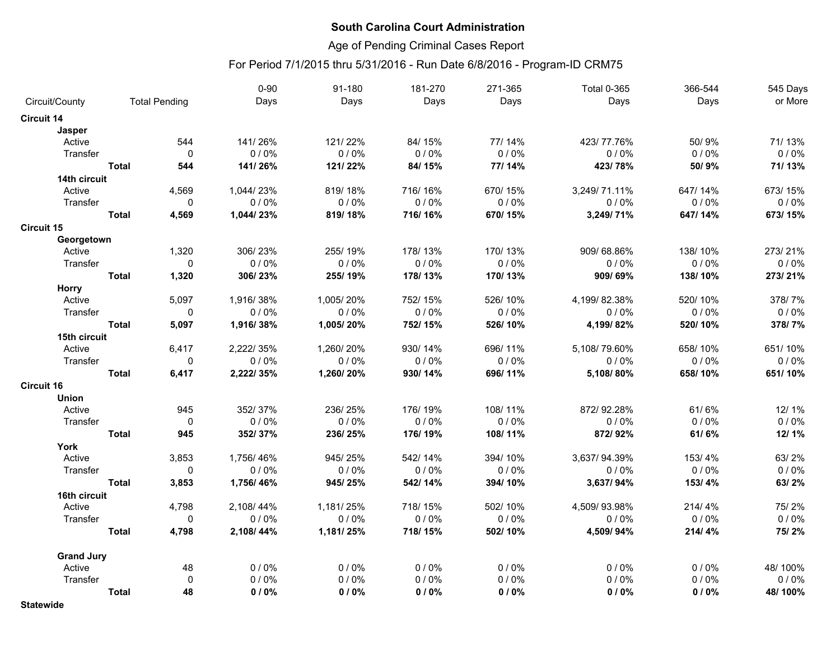### Age of Pending Criminal Cases Report

|                   |                      |             | $0 - 90$  | 91-180    | 181-270 | 271-365 | <b>Total 0-365</b> | 366-544 | 545 Days |
|-------------------|----------------------|-------------|-----------|-----------|---------|---------|--------------------|---------|----------|
| Circuit/County    | <b>Total Pending</b> |             | Days      | Days      | Days    | Days    | Days               | Days    | or More  |
| Circuit 14        |                      |             |           |           |         |         |                    |         |          |
| Jasper            |                      |             |           |           |         |         |                    |         |          |
| Active            |                      | 544         | 141/26%   | 121/22%   | 84/15%  | 77/14%  | 423/77.76%         | 50/9%   | 71/13%   |
| Transfer          |                      | $\mathbf 0$ | 0/0%      | 0/0%      | 0/0%    | 0/0%    | 0/0%               | 0/0%    | 0/0%     |
|                   | <b>Total</b>         | 544         | 141/26%   | 121/22%   | 84/15%  | 77/14%  | 423/78%            | 50/9%   | 71/13%   |
| 14th circuit      |                      |             |           |           |         |         |                    |         |          |
| Active            |                      | 4,569       | 1,044/23% | 819/18%   | 716/16% | 670/15% | 3,249/71.11%       | 647/14% | 673/15%  |
| Transfer          |                      | $\mathbf 0$ | $0/0\%$   | 0/0%      | $0/0\%$ | 0/0%    | 0/0%               | 0/0%    | $0/0\%$  |
|                   | <b>Total</b>         | 4,569       | 1,044/23% | 819/18%   | 716/16% | 670/15% | 3,249/71%          | 647/14% | 673/15%  |
| <b>Circuit 15</b> |                      |             |           |           |         |         |                    |         |          |
| Georgetown        |                      |             |           |           |         |         |                    |         |          |
| Active            |                      | 1,320       | 306/23%   | 255/19%   | 178/13% | 170/13% | 909/68.86%         | 138/10% | 273/21%  |
| Transfer          |                      | $\mathbf 0$ | 0/0%      | 0/0%      | 0/0%    | 0/0%    | 0/0%               | 0/0%    | 0/0%     |
|                   | <b>Total</b>         | 1,320       | 306/23%   | 255/19%   | 178/13% | 170/13% | 909/69%            | 138/10% | 273/21%  |
| <b>Horry</b>      |                      |             |           |           |         |         |                    |         |          |
| Active            |                      | 5,097       | 1,916/38% | 1,005/20% | 752/15% | 526/10% | 4,199/82.38%       | 520/10% | 378/7%   |
| Transfer          |                      | $\mathbf 0$ | 0/0%      | 0/0%      | 0/0%    | 0/0%    | 0/0%               | 0/0%    | 0/0%     |
|                   | <b>Total</b>         | 5,097       | 1,916/38% | 1,005/20% | 752/15% | 526/10% | 4,199/82%          | 520/10% | 378/7%   |
| 15th circuit      |                      |             |           |           |         |         |                    |         |          |
| Active            |                      | 6,417       | 2,222/35% | 1,260/20% | 930/14% | 696/11% | 5,108/79.60%       | 658/10% | 651/10%  |
| Transfer          |                      | $\mathbf 0$ | 0/0%      | 0/0%      | 0/0%    | 0/0%    | 0/0%               | 0/0%    | 0/0%     |
|                   | <b>Total</b>         | 6,417       | 2,222/35% | 1,260/20% | 930/14% | 696/11% | 5,108/80%          | 658/10% | 651/10%  |
| <b>Circuit 16</b> |                      |             |           |           |         |         |                    |         |          |
| <b>Union</b>      |                      |             |           |           |         |         |                    |         |          |
| Active            |                      | 945         | 352/37%   | 236/25%   | 176/19% | 108/11% | 872/92.28%         | 61/6%   | 12/1%    |
| Transfer          |                      | $\mathbf 0$ | 0/0%      | 0/0%      | 0/0%    | 0/0%    | 0/0%               | $0/0\%$ | 0/0%     |
|                   | <b>Total</b>         | 945         | 352/37%   | 236/25%   | 176/19% | 108/11% | 872/92%            | 61/6%   | 12/1%    |
|                   |                      |             |           |           |         |         |                    |         |          |
| York<br>Active    |                      | 3,853       | 1,756/46% | 945/25%   | 542/14% | 394/10% | 3,637/94.39%       | 153/4%  | 63/2%    |
| Transfer          |                      | $\mathbf 0$ | 0/0%      | 0/0%      | 0/0%    | 0/0%    | 0/0%               | 0/0%    | 0/0%     |
|                   | <b>Total</b>         | 3,853       | 1,756/46% | 945/25%   | 542/14% | 394/10% | 3,637/94%          | 153/4%  | 63/2%    |
|                   |                      |             |           |           |         |         |                    |         |          |
| 16th circuit      |                      |             |           |           |         | 502/10% |                    |         |          |
| Active            |                      | 4,798       | 2,108/44% | 1,181/25% | 718/15% |         | 4,509/93.98%       | 214/4%  | 75/2%    |
| Transfer          |                      | 0           | 0/0%      | 0/0%      | 0/0%    | 0/0%    | 0/0%               | 0/0%    | $0/0\%$  |
|                   | <b>Total</b>         | 4,798       | 2,108/44% | 1,181/25% | 718/15% | 502/10% | 4,509/94%          | 214/4%  | 75/2%    |
| <b>Grand Jury</b> |                      |             |           |           |         |         |                    |         |          |
| Active            |                      | 48          | 0/0%      | 0/0%      | 0/0%    | 0/0%    | 0/0%               | $0/0\%$ | 48/100%  |
| Transfer          |                      | $\mathbf 0$ | $0/0\%$   | $0/0\%$   | 0/0%    | 0/0%    | 0/0%               | 0/0%    | 0/0%     |
|                   | <b>Total</b>         | 48          | 0/0%      | 0/0%      | 0/0%    | 0/0%    | 0/0%               | 0/0%    | 48/100%  |
| <b>Statewide</b>  |                      |             |           |           |         |         |                    |         |          |